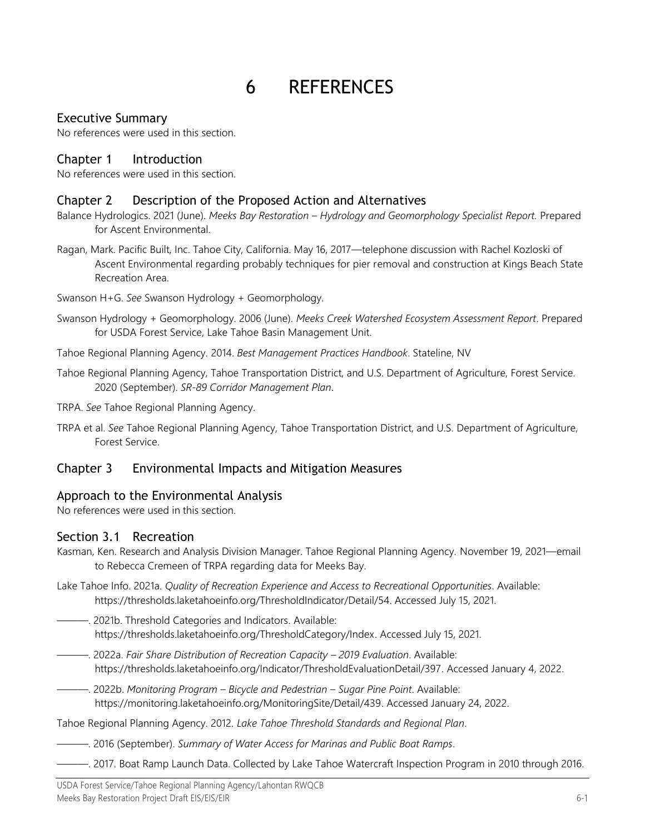# 6 REFERENCES

# Executive Summary

No references were used in this section.

## Chapter 1 Introduction

No references were used in this section.

#### Chapter 2 Description of the Proposed Action and Alternatives

- Balance Hydrologics. 2021 (June). *Meeks Bay Restoration – Hydrology and Geomorphology Specialist Report.* Prepared for Ascent Environmental.
- Ragan, Mark. Pacific Built, Inc. Tahoe City, California. May 16, 2017—telephone discussion with Rachel Kozloski of Ascent Environmental regarding probably techniques for pier removal and construction at Kings Beach State Recreation Area.
- Swanson H+G. *See* Swanson Hydrology + Geomorphology.
- Swanson Hydrology + Geomorphology. 2006 (June). *Meeks Creek Watershed Ecosystem Assessment Report*. Prepared for USDA Forest Service, Lake Tahoe Basin Management Unit.
- Tahoe Regional Planning Agency. 2014. *Best Management Practices Handbook*. Stateline, NV
- Tahoe Regional Planning Agency, Tahoe Transportation District, and U.S. Department of Agriculture, Forest Service. 2020 (September). *SR-89 Corridor Management Plan*.
- TRPA. *See* Tahoe Regional Planning Agency.
- TRPA et al. *See* Tahoe Regional Planning Agency, Tahoe Transportation District, and U.S. Department of Agriculture, Forest Service.

## Chapter 3 Environmental Impacts and Mitigation Measures

## Approach to the Environmental Analysis

No references were used in this section.

## Section 3.1 Recreation

- Kasman, Ken. Research and Analysis Division Manager. Tahoe Regional Planning Agency. November 19, 2021—email to Rebecca Cremeen of TRPA regarding data for Meeks Bay.
- Lake Tahoe Info. 2021a. *Quality of Recreation Experience and Access to Recreational Opportunities*. Available: https://thresholds.laketahoeinfo.org/ThresholdIndicator/Detail/54. Accessed July 15, 2021.
- ———. 2021b. Threshold Categories and Indicators. Available: [https://thresholds.laketahoeinfo.org/ThresholdCategory/Index.](https://thresholds.laketahoeinfo.org/ThresholdCategory/Index) Accessed July 15, 2021.
	- ———. 2022a. *Fair Share Distribution of Recreation Capacity – 2019 Evaluation*. Available: [https://thresholds.laketahoeinfo.org/Indicator/ThresholdEvaluationDetail/397.](https://thresholds.laketahoeinfo.org/Indicator/ThresholdEvaluationDetail/397) Accessed January 4, 2022.
	- ———. 2022b. *Monitoring Program – Bicycle and Pedestrian – Sugar Pine Point*. Available: [https://monitoring.laketahoeinfo.org/MonitoringSite/Detail/439.](https://monitoring.laketahoeinfo.org/MonitoringSite/Detail/439) Accessed January 24, 2022.

Tahoe Regional Planning Agency. 2012. *Lake Tahoe Threshold Standards and Regional Plan*.

- ———. 2016 (September). *Summary of Water Access for Marinas and Public Boat Ramps*.
	- ———. 2017. Boat Ramp Launch Data. Collected by Lake Tahoe Watercraft Inspection Program in 2010 through 2016.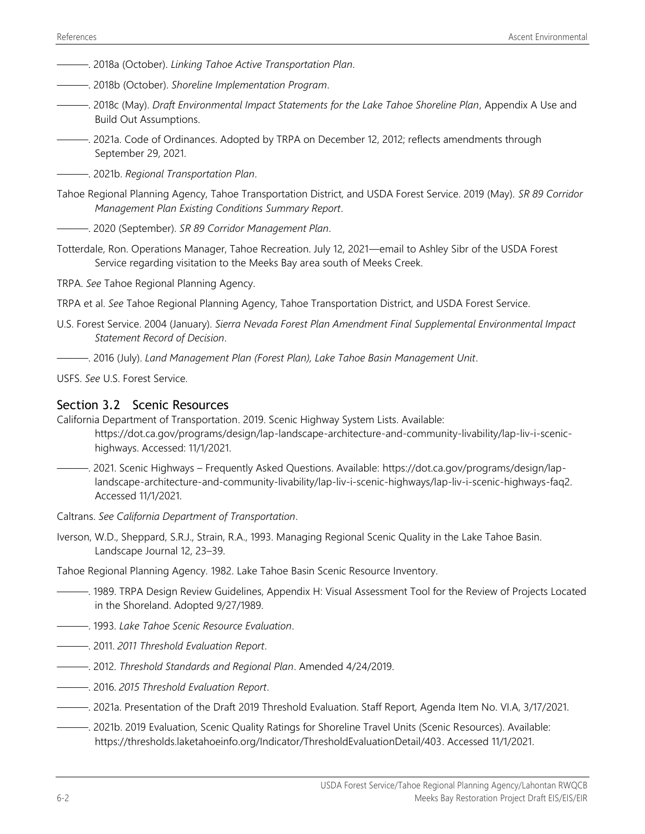- ———. 2018a (October). *Linking Tahoe Active Transportation Plan*.
- ———. 2018b (October). *Shoreline Implementation Program*.
- ———. 2018c (May). *Draft Environmental Impact Statements for the Lake Tahoe Shoreline Plan*, Appendix A Use and Build Out Assumptions.
- ———. 2021a. Code of Ordinances. Adopted by TRPA on December 12, 2012; reflects amendments through September 29, 2021.
- ———. 2021b. *Regional Transportation Plan*.
- Tahoe Regional Planning Agency, Tahoe Transportation District, and USDA Forest Service. 2019 (May). *SR 89 Corridor Management Plan Existing Conditions Summary Report*.
- ———. 2020 (September). *SR 89 Corridor Management Plan*.
- Totterdale, Ron. Operations Manager, Tahoe Recreation. July 12, 2021—email to Ashley Sibr of the USDA Forest Service regarding visitation to the Meeks Bay area south of Meeks Creek.

TRPA. *See* Tahoe Regional Planning Agency.

- TRPA et al. *See* Tahoe Regional Planning Agency, Tahoe Transportation District, and USDA Forest Service.
- U.S. Forest Service. 2004 (January). *Sierra Nevada Forest Plan Amendment Final Supplemental Environmental Impact Statement Record of Decision*.
- ———. 2016 (July). *Land Management Plan (Forest Plan), Lake Tahoe Basin Management Unit*.
- USFS. *See* U.S. Forest Service.

#### Section 3.2 Scenic Resources

California Department of Transportation. 2019. Scenic Highway System Lists. Available:

[https://dot.ca.gov/programs/design/lap-landscape-architecture-and-community-livability/lap-liv-i-scenic](https://dot.ca.gov/programs/design/lap-landscape-architecture-and-community-livability/lap-liv-i-scenic-highways)[highways.](https://dot.ca.gov/programs/design/lap-landscape-architecture-and-community-livability/lap-liv-i-scenic-highways) Accessed: 11/1/2021.

- ———. 2021. Scenic Highways Frequently Asked Questions. Available: [https://dot.ca.gov/programs/design/lap](https://dot.ca.gov/programs/design/lap-landscape-architecture-and-community-livability/lap-liv-i-scenic-highways/lap-liv-i-scenic-highways-faq2)[landscape-architecture-and-community-livability/lap-liv-i-scenic-highways/lap-liv-i-scenic-highways-faq2.](https://dot.ca.gov/programs/design/lap-landscape-architecture-and-community-livability/lap-liv-i-scenic-highways/lap-liv-i-scenic-highways-faq2) Accessed 11/1/2021.
- Caltrans. *See California Department of Transportation*.
- Iverson, W.D., Sheppard, S.R.J., Strain, R.A., 1993. Managing Regional Scenic Quality in the Lake Tahoe Basin. Landscape Journal 12, 23–39.

Tahoe Regional Planning Agency. 1982. Lake Tahoe Basin Scenic Resource Inventory.

- ———. 1989. TRPA Design Review Guidelines, Appendix H: Visual Assessment Tool for the Review of Projects Located in the Shoreland. Adopted 9/27/1989.
- ———. 1993. *Lake Tahoe Scenic Resource Evaluation*.
- ———. 2011. *2011 Threshold Evaluation Report*.
- ———. 2012. *Threshold Standards and Regional Plan*. Amended 4/24/2019.
- ———. 2016. *2015 Threshold Evaluation Report*.
- ———. 2021a. Presentation of the Draft 2019 Threshold Evaluation. Staff Report, Agenda Item No. VI.A, 3/17/2021.
- ———. 2021b. 2019 Evaluation, Scenic Quality Ratings for Shoreline Travel Units (Scenic Resources). Available: [https://thresholds.laketahoeinfo.org/Indicator/ThresholdEvaluationDetail/403.](https://thresholds.laketahoeinfo.org/Indicator/ThresholdEvaluationDetail/403) Accessed 11/1/2021.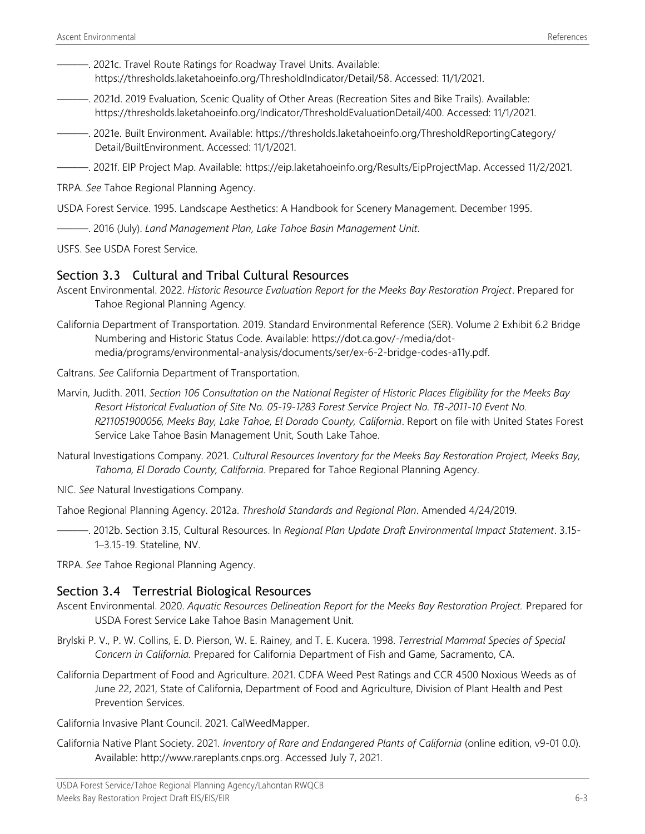- 2021c. Travel Route Ratings for Roadway Travel Units. Available: [https://thresholds.laketahoeinfo.org/ThresholdIndicator/Detail/58.](https://thresholds.laketahoeinfo.org/ThresholdIndicator/Detail/58) Accessed: 11/1/2021.
- ———. 2021d. 2019 Evaluation, Scenic Quality of Other Areas (Recreation Sites and Bike Trails). Available: https://thresholds.laketahoeinfo.org/Indicator/ThresholdEvaluationDetail/400. Accessed: 11/1/2021.
- ———. 2021e. Built Environment. Available: [https://thresholds.laketahoeinfo.org/ThresholdReportingCategory/](https://thresholds.laketahoeinfo.org/ThresholdReportingCategory/%0bDetail/BuiltEnvironment) [Detail/BuiltEnvironment.](https://thresholds.laketahoeinfo.org/ThresholdReportingCategory/%0bDetail/BuiltEnvironment) Accessed: 11/1/2021.
- ———. 2021f. EIP Project Map. Available: [https://eip.laketahoeinfo.org/Results/EipProjectMap.](https://eip.laketahoeinfo.org/Results/EipProjectMap) Accessed 11/2/2021.

TRPA. *See* Tahoe Regional Planning Agency.

USDA Forest Service. 1995. Landscape Aesthetics: A Handbook for Scenery Management. December 1995.

———. 2016 (July). *Land Management Plan, Lake Tahoe Basin Management Unit*.

USFS. See USDA Forest Service.

#### Section 3.3 Cultural and Tribal Cultural Resources

- Ascent Environmental. 2022. *Historic Resource Evaluation Report for the Meeks Bay Restoration Project*. Prepared for Tahoe Regional Planning Agency.
- California Department of Transportation. 2019. Standard Environmental Reference (SER). Volume 2 Exhibit 6.2 Bridge Numbering and Historic Status Code. Available: https://dot.ca.gov/-/media/dotmedia/programs/environmental-analysis/documents/ser/ex-6-2-bridge-codes-a11y.pdf.

Caltrans. *See* California Department of Transportation.

- Marvin, Judith. 2011. *Section 106 Consultation on the National Register of Historic Places Eligibility for the Meeks Bay Resort Historical Evaluation of Site No. 05-19-1283 Forest Service Project No. TB-2011-10 Event No. R211051900056, Meeks Bay, Lake Tahoe, El Dorado County, California*. Report on file with United States Forest Service Lake Tahoe Basin Management Unit, South Lake Tahoe.
- Natural Investigations Company. 2021. *Cultural Resources Inventory for the Meeks Bay Restoration Project, Meeks Bay, Tahoma, El Dorado County, California*. Prepared for Tahoe Regional Planning Agency.

NIC. *See* Natural Investigations Company.

Tahoe Regional Planning Agency. 2012a. *Threshold Standards and Regional Plan*. Amended 4/24/2019.

———. 2012b. Section 3.15, Cultural Resources. In *Regional Plan Update Draft Environmental Impact Statement*. 3.15- 1–3.15-19. Stateline, NV.

TRPA. *See* Tahoe Regional Planning Agency.

#### Section 3.4 Terrestrial Biological Resources

- Ascent Environmental. 2020. *Aquatic Resources Delineation Report for the Meeks Bay Restoration Project.* Prepared for USDA Forest Service Lake Tahoe Basin Management Unit.
- Brylski P. V., P. W. Collins, E. D. Pierson, W. E. Rainey, and T. E. Kucera. 1998. *Terrestrial Mammal Species of Special Concern in California.* Prepared for California Department of Fish and Game, Sacramento, CA.
- California Department of Food and Agriculture. 2021. CDFA Weed Pest Ratings and CCR 4500 Noxious Weeds as of June 22, 2021, State of California, Department of Food and Agriculture, Division of Plant Health and Pest Prevention Services.

California Invasive Plant Council. 2021. CalWeedMapper.

California Native Plant Society. 2021. *Inventory of Rare and Endangered Plants of California* (online edition, v9-01 0.0). Available: [http://www.rareplants.cnps.org.](http://www.rareplants.cnps.org/) Accessed July 7, 2021.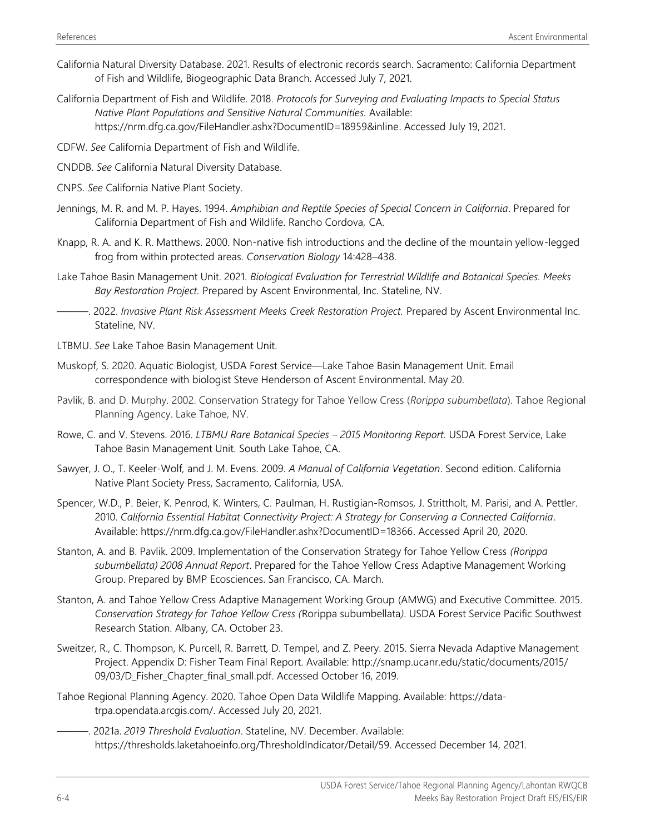- California Natural Diversity Database. 2021. Results of electronic records search. Sacramento: California Department of Fish and Wildlife, Biogeographic Data Branch. Accessed July 7, 2021.
- California Department of Fish and Wildlife. 2018. *Protocols for Surveying and Evaluating Impacts to Special Status Native Plant Populations and Sensitive Natural Communities.* Available: [https://nrm.dfg.ca.gov/FileHandler.ashx?DocumentID=18959&inline.](https://nrm.dfg.ca.gov/FileHandler.ashx?DocumentID=18959&inline) Accessed July 19, 2021.
- CDFW. *See* California Department of Fish and Wildlife.
- CNDDB. *See* California Natural Diversity Database.
- CNPS. *See* California Native Plant Society.
- Jennings, M. R. and M. P. Hayes. 1994. *Amphibian and Reptile Species of Special Concern in California*. Prepared for California Department of Fish and Wildlife. Rancho Cordova, CA.
- Knapp, R. A. and K. R. Matthews. 2000. Non-native fish introductions and the decline of the mountain yellow-legged frog from within protected areas. *Conservation Biology* 14:428–438.
- Lake Tahoe Basin Management Unit. 2021. *Biological Evaluation for Terrestrial Wildlife and Botanical Species. Meeks Bay Restoration Project.* Prepared by Ascent Environmental, Inc. Stateline, NV.
	- ———. 2022. *Invasive Plant Risk Assessment Meeks Creek Restoration Project.* Prepared by Ascent Environmental Inc. Stateline, NV.
- LTBMU. *See* Lake Tahoe Basin Management Unit.
- Muskopf, S. 2020. Aquatic Biologist, USDA Forest Service—Lake Tahoe Basin Management Unit. Email correspondence with biologist Steve Henderson of Ascent Environmental. May 20.
- Pavlik, B. and D. Murphy. 2002. Conservation Strategy for Tahoe Yellow Cress (*Rorippa subumbellata*). Tahoe Regional Planning Agency. Lake Tahoe, NV.
- Rowe, C. and V. Stevens. 2016. *LTBMU Rare Botanical Species – 2015 Monitoring Report.* USDA Forest Service, Lake Tahoe Basin Management Unit. South Lake Tahoe, CA.
- Sawyer, J. O., T. Keeler-Wolf, and J. M. Evens. 2009. *A Manual of California Vegetation*. Second edition. California Native Plant Society Press, Sacramento, California, USA.
- Spencer, W.D., P. Beier, K. Penrod, K. Winters, C. Paulman, H. Rustigian-Romsos, J. Strittholt, M. Parisi, and A. Pettler. 2010. *California Essential Habitat Connectivity Project: A Strategy for Conserving a Connected California*. Available: [https://nrm.dfg.ca.gov/FileHandler.ashx?DocumentID=18366.](https://nrm.dfg.ca.gov/FileHandler.ashx?DocumentID=18366) Accessed April 20, 2020.
- Stanton, A. and B. Pavlik. 2009. Implementation of the Conservation Strategy for Tahoe Yellow Cress *(Rorippa subumbellata) 2008 Annual Report*. Prepared for the Tahoe Yellow Cress Adaptive Management Working Group. Prepared by BMP Ecosciences. San Francisco, CA. March.
- Stanton, A. and Tahoe Yellow Cress Adaptive Management Working Group (AMWG) and Executive Committee. 2015. *Conservation Strategy for Tahoe Yellow Cress (*Rorippa subumbellata*)*. USDA Forest Service Pacific Southwest Research Station. Albany, CA. October 23.
- Sweitzer, R., C. Thompson, K. Purcell, R. Barrett, D. Tempel, and Z. Peery. 2015. Sierra Nevada Adaptive Management Project. Appendix D: Fisher Team Final Report. Available: [http://snamp.ucanr.edu/static/documents/2015/](http://snamp.ucanr.edu/static/documents/2015/%0b09/03/D_Fisher_Chapter_final_small.pdf) [09/03/D\\_Fisher\\_Chapter\\_final\\_small.pdf.](http://snamp.ucanr.edu/static/documents/2015/%0b09/03/D_Fisher_Chapter_final_small.pdf) Accessed October 16, 2019.
- Tahoe Regional Planning Agency. 2020. Tahoe Open Data Wildlife Mapping. Available: [https://data](https://data-trpa.opendata.arcgis.com/)[trpa.opendata.arcgis.com/.](https://data-trpa.opendata.arcgis.com/) Accessed July 20, 2021.
- ———. 2021a. *2019 Threshold Evaluation*. Stateline, NV. December. Available: https://thresholds.laketahoeinfo.org/ThresholdIndicator/Detail/59. Accessed December 14, 2021.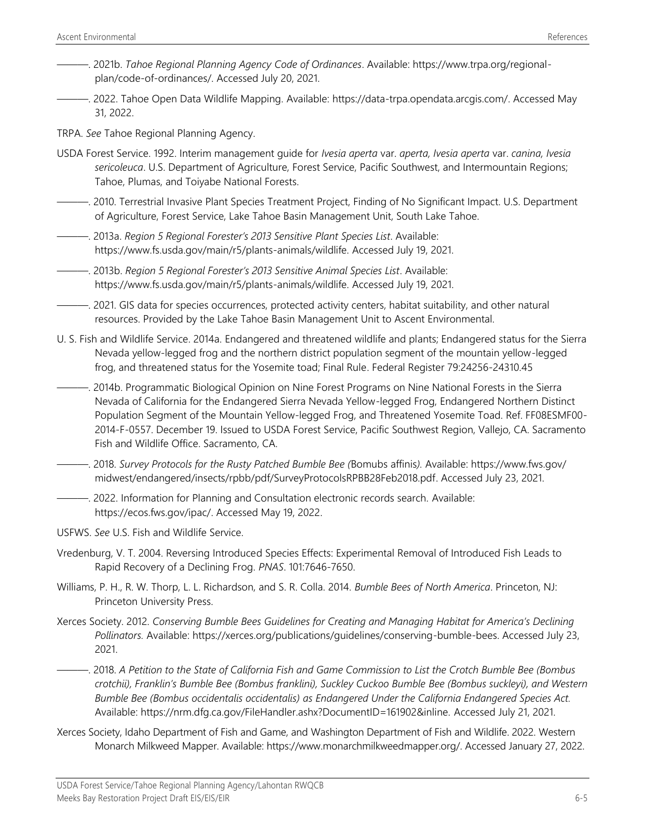- ———. 2021b. *Tahoe Regional Planning Agency Code of Ordinances*. Available: https://www.trpa.org/regionalplan/code-of-ordinances/. Accessed July 20, 2021.
- ———. 2022. Tahoe Open Data Wildlife Mapping. Available: [https://data-trpa.opendata.arcgis.com/.](https://data-trpa.opendata.arcgis.com/) Accessed May 31, 2022.
- TRPA. *See* Tahoe Regional Planning Agency.
- USDA Forest Service. 1992. Interim management guide for *Ivesia aperta* var. *aperta, Ivesia aperta* var. *canina, Ivesia sericoleuca*. U.S. Department of Agriculture, Forest Service, Pacific Southwest, and Intermountain Regions; Tahoe, Plumas, and Toiyabe National Forests.
- ———. 2010. Terrestrial Invasive Plant Species Treatment Project, Finding of No Significant Impact. U.S. Department of Agriculture, Forest Service, Lake Tahoe Basin Management Unit, South Lake Tahoe.
- ———. 2013a. *Region 5 Regional Forester's 2013 Sensitive Plant Species List*. Available: https://www.fs.usda.gov/main/r5/plants-animals/wildlife. Accessed July 19, 2021.
- ———. 2013b. *Region 5 Regional Forester's 2013 Sensitive Animal Species List*. Available: https://www.fs.usda.gov/main/r5/plants-animals/wildlife. Accessed July 19, 2021.
- ———. 2021. GIS data for species occurrences, protected activity centers, habitat suitability, and other natural resources. Provided by the Lake Tahoe Basin Management Unit to Ascent Environmental.
- U. S. Fish and Wildlife Service. 2014a. Endangered and threatened wildlife and plants; Endangered status for the Sierra Nevada yellow-legged frog and the northern district population segment of the mountain yellow-legged frog, and threatened status for the Yosemite toad; Final Rule. Federal Register 79:24256-24310.45
- ———. 2014b. Programmatic Biological Opinion on Nine Forest Programs on Nine National Forests in the Sierra Nevada of California for the Endangered Sierra Nevada Yellow-legged Frog, Endangered Northern Distinct Population Segment of the Mountain Yellow-legged Frog, and Threatened Yosemite Toad. Ref. FF08ESMF00- 2014-F-0557. December 19. Issued to USDA Forest Service, Pacific Southwest Region, Vallejo, CA. Sacramento Fish and Wildlife Office. Sacramento, CA.
- ———. 2018. *Survey Protocols for the Rusty Patched Bumble Bee (*Bomubs affinis*).* Available: [https://www.fws.gov/](https://www.fws.gov/%0bmidwest/endangered/insects/rpbb/pdf/SurveyProtocolsRPBB28Feb2018.pdf) [midwest/endangered/insects/rpbb/pdf/SurveyProtocolsRPBB28Feb2018.pdf.](https://www.fws.gov/%0bmidwest/endangered/insects/rpbb/pdf/SurveyProtocolsRPBB28Feb2018.pdf) Accessed July 23, 2021.
- ———. 2022. Information for Planning and Consultation electronic records search. Available: [https://ecos.fws.gov/ipac/.](https://ecos.fws.gov/ipac/) Accessed May 19, 2022.
- USFWS. *See* U.S. Fish and Wildlife Service.
- Vredenburg, V. T. 2004. Reversing Introduced Species Effects: Experimental Removal of Introduced Fish Leads to Rapid Recovery of a Declining Frog. *PNAS*. 101:7646-7650.
- Williams, P. H., R. W. Thorp, L. L. Richardson, and S. R. Colla. 2014. *Bumble Bees of North America*. Princeton, NJ: Princeton University Press.
- Xerces Society. 2012. *Conserving Bumble Bees Guidelines for Creating and Managing Habitat for America's Declining Pollinators.* Available: [https://xerces.org/publications/guidelines/conserving-bumble-bees.](https://xerces.org/publications/guidelines/conserving-bumble-bees) Accessed July 23, 2021.
- ———. 2018. *A Petition to the State of California Fish and Game Commission to List the Crotch Bumble Bee (Bombus crotchii), Franklin's Bumble Bee (Bombus franklini), Suckley Cuckoo Bumble Bee (Bombus suckleyi), and Western Bumble Bee (Bombus occidentalis occidentalis) as Endangered Under the California Endangered Species Act.*  Available: https://nrm.dfg.ca.gov/FileHandler.ashx?DocumentID=161902&inline. Accessed July 21, 2021.
- Xerces Society, Idaho Department of Fish and Game, and Washington Department of Fish and Wildlife. 2022. Western Monarch Milkweed Mapper. Available: [https://www.monarchmilkweedmapper.org/.](https://www.monarchmilkweedmapper.org/) Accessed January 27, 2022.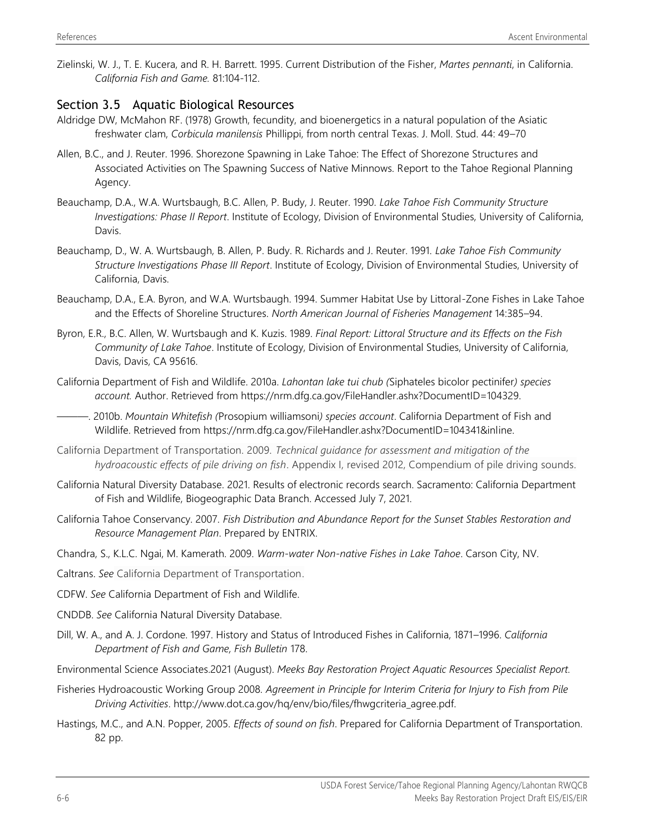Zielinski, W. J., T. E. Kucera, and R. H. Barrett. 1995. Current Distribution of the Fisher, *Martes pennanti*, in California. *California Fish and Game.* 81:104-112.

# Section 3.5 Aquatic Biological Resources

- Aldridge DW, McMahon RF. (1978) Growth, fecundity, and bioenergetics in a natural population of the Asiatic freshwater clam, *Corbicula manilensis* Phillippi, from north central Texas. J. Moll. Stud. 44: 49–70
- Allen, B.C., and J. Reuter. 1996. Shorezone Spawning in Lake Tahoe: The Effect of Shorezone Structures and Associated Activities on The Spawning Success of Native Minnows. Report to the Tahoe Regional Planning Agency.
- Beauchamp, D.A., W.A. Wurtsbaugh, B.C. Allen, P. Budy, J. Reuter. 1990. *Lake Tahoe Fish Community Structure Investigations: Phase II Report*. Institute of Ecology, Division of Environmental Studies, University of California, Davis.
- Beauchamp, D., W. A. Wurtsbaugh, B. Allen, P. Budy. R. Richards and J. Reuter. 1991. *Lake Tahoe Fish Community Structure Investigations Phase III Report*. Institute of Ecology, Division of Environmental Studies, University of California, Davis.
- Beauchamp, D.A., E.A. Byron, and W.A. Wurtsbaugh. 1994. Summer Habitat Use by Littoral-Zone Fishes in Lake Tahoe and the Effects of Shoreline Structures. *North American Journal of Fisheries Management* 14:385–94.
- Byron, E.R., B.C. Allen, W. Wurtsbaugh and K. Kuzis. 1989. *Final Report: Littoral Structure and its Effects on the Fish Community of Lake Tahoe*. Institute of Ecology, Division of Environmental Studies, University of California, Davis, Davis, CA 95616.
- California Department of Fish and Wildlife. 2010a. *Lahontan lake tui chub (*Siphateles bicolor pectinifer*) species account.* Author. Retrieved from https://nrm.dfg.ca.gov/FileHandler.ashx?DocumentID=104329.
- ———. 2010b. *Mountain Whitefish (*Prosopium williamsoni*) species account*. California Department of Fish and Wildlife. Retrieved from [https://nrm.dfg.ca.gov/FileHandler.ashx?DocumentID=104341&inline.](https://nrm.dfg.ca.gov/FileHandler.ashx?DocumentID=104341&inline)
- California Department of Transportation. 2009. *Technical guidance for assessment and mitigation of the hydroacoustic effects of pile driving on fish*. Appendix I, revised 2012, Compendium of pile driving sounds.
- California Natural Diversity Database. 2021. Results of electronic records search. Sacramento: California Department of Fish and Wildlife, Biogeographic Data Branch. Accessed July 7, 2021.
- California Tahoe Conservancy. 2007. *Fish Distribution and Abundance Report for the Sunset Stables Restoration and Resource Management Plan*. Prepared by ENTRIX.
- Chandra, S., K.L.C. Ngai, M. Kamerath. 2009. *Warm-water Non-native Fishes in Lake Tahoe*. Carson City, NV.
- Caltrans. *See* California Department of Transportation.
- CDFW. *See* California Department of Fish and Wildlife.
- CNDDB. *See* California Natural Diversity Database.
- Dill, W. A., and A. J. Cordone. 1997. History and Status of Introduced Fishes in California, 1871–1996. *California Department of Fish and Game, Fish Bulletin* 178.
- Environmental Science Associates.2021 (August). *Meeks Bay Restoration Project Aquatic Resources Specialist Report.*
- Fisheries Hydroacoustic Working Group 2008. *Agreement in Principle for Interim Criteria for Injury to Fish from Pile Driving Activities*. http://www.dot.ca.gov/hq/env/bio/files/fhwgcriteria\_agree.pdf.
- Hastings, M.C., and A.N. Popper, 2005. *Effects of sound on fish*. Prepared for California Department of Transportation. 82 pp.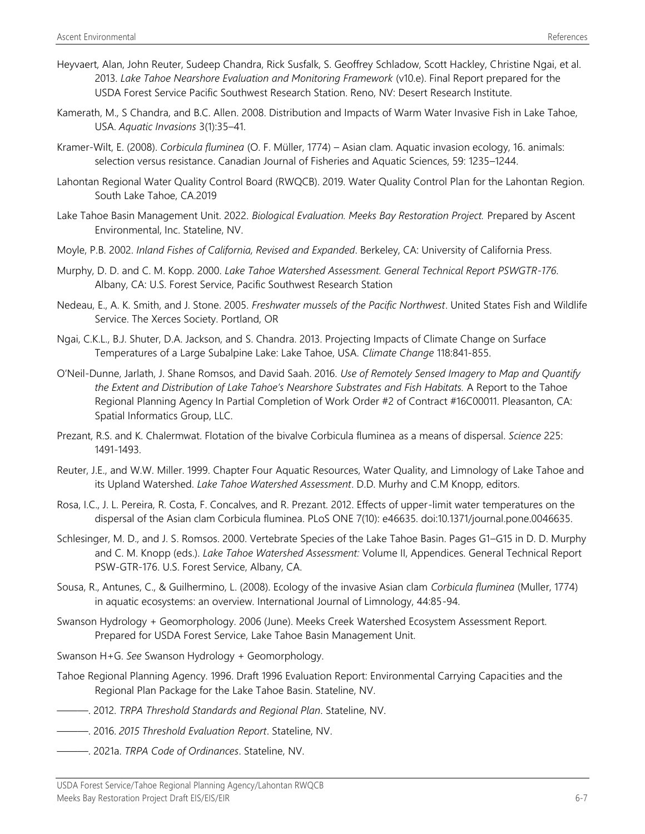- Heyvaert, Alan, John Reuter, Sudeep Chandra, Rick Susfalk, S. Geoffrey Schladow, Scott Hackley, Christine Ngai, et al. 2013. *Lake Tahoe Nearshore Evaluation and Monitoring Framework* (v10.e). Final Report prepared for the USDA Forest Service Pacific Southwest Research Station. Reno, NV: Desert Research Institute.
- Kamerath, M., S Chandra, and B.C. Allen. 2008. Distribution and Impacts of Warm Water Invasive Fish in Lake Tahoe, USA. *Aquatic Invasions* 3(1):35–41.
- Kramer-Wilt, E. (2008). *Corbicula fluminea* (O. F. Müller, 1774) Asian clam. Aquatic invasion ecology, 16. animals: selection versus resistance. Canadian Journal of Fisheries and Aquatic Sciences, 59: 1235–1244.
- Lahontan Regional Water Quality Control Board (RWQCB). 2019. Water Quality Control Plan for the Lahontan Region. South Lake Tahoe, CA.2019
- Lake Tahoe Basin Management Unit. 2022. *Biological Evaluation. Meeks Bay Restoration Project.* Prepared by Ascent Environmental, Inc. Stateline, NV.
- Moyle, P.B. 2002. *Inland Fishes of California, Revised and Expanded*. Berkeley, CA: University of California Press.
- Murphy, D. D. and C. M. Kopp. 2000. *Lake Tahoe Watershed Assessment. General Technical Report PSWGTR-176*. Albany, CA: U.S. Forest Service, Pacific Southwest Research Station
- Nedeau, E., A. K. Smith, and J. Stone. 2005. *Freshwater mussels of the Pacific Northwest*. United States Fish and Wildlife Service. The Xerces Society. Portland, OR
- Ngai, C.K.L., B.J. Shuter, D.A. Jackson, and S. Chandra. 2013. Projecting Impacts of Climate Change on Surface Temperatures of a Large Subalpine Lake: Lake Tahoe, USA. *Climate Change* 118:841-855.
- O'Neil-Dunne, Jarlath, J. Shane Romsos, and David Saah. 2016. *Use of Remotely Sensed Imagery to Map and Quantify the Extent and Distribution of Lake Tahoe's Nearshore Substrates and Fish Habitats.* A Report to the Tahoe Regional Planning Agency In Partial Completion of Work Order #2 of Contract #16C00011. Pleasanton, CA: Spatial Informatics Group, LLC.
- Prezant, R.S. and K. Chalermwat. Flotation of the bivalve Corbicula fluminea as a means of dispersal. *Science* 225: 1491-1493.
- Reuter, J.E., and W.W. Miller. 1999. Chapter Four Aquatic Resources, Water Quality, and Limnology of Lake Tahoe and its Upland Watershed. *Lake Tahoe Watershed Assessment*. D.D. Murhy and C.M Knopp, editors.
- Rosa, I.C., J. L. Pereira, R. Costa, F. Concalves, and R. Prezant. 2012. Effects of upper-limit water temperatures on the dispersal of the Asian clam Corbicula fluminea. PLoS ONE 7(10): e46635. doi:10.1371/journal.pone.0046635.
- Schlesinger, M. D., and J. S. Romsos. 2000. Vertebrate Species of the Lake Tahoe Basin. Pages G1–G15 in D. D. Murphy and C. M. Knopp (eds.). *Lake Tahoe Watershed Assessment:* Volume II, Appendices. General Technical Report PSW-GTR-176. U.S. Forest Service, Albany, CA.
- Sousa, R., Antunes, C., & Guilhermino, L. (2008). Ecology of the invasive Asian clam *Corbicula fluminea* (Muller, 1774) in aquatic ecosystems: an overview. International Journal of Limnology, 44:85-94.
- Swanson Hydrology + Geomorphology. 2006 (June). Meeks Creek Watershed Ecosystem Assessment Report. Prepared for USDA Forest Service, Lake Tahoe Basin Management Unit.
- Swanson H+G. *See* Swanson Hydrology + Geomorphology.
- Tahoe Regional Planning Agency. 1996. Draft 1996 Evaluation Report: Environmental Carrying Capacities and the Regional Plan Package for the Lake Tahoe Basin. Stateline, NV.
- ———. 2012. *TRPA Threshold Standards and Regional Plan*. Stateline, NV.
- ———. 2016. *2015 Threshold Evaluation Report*. Stateline, NV.
- ———. 2021a. *TRPA Code of Ordinances*. Stateline, NV.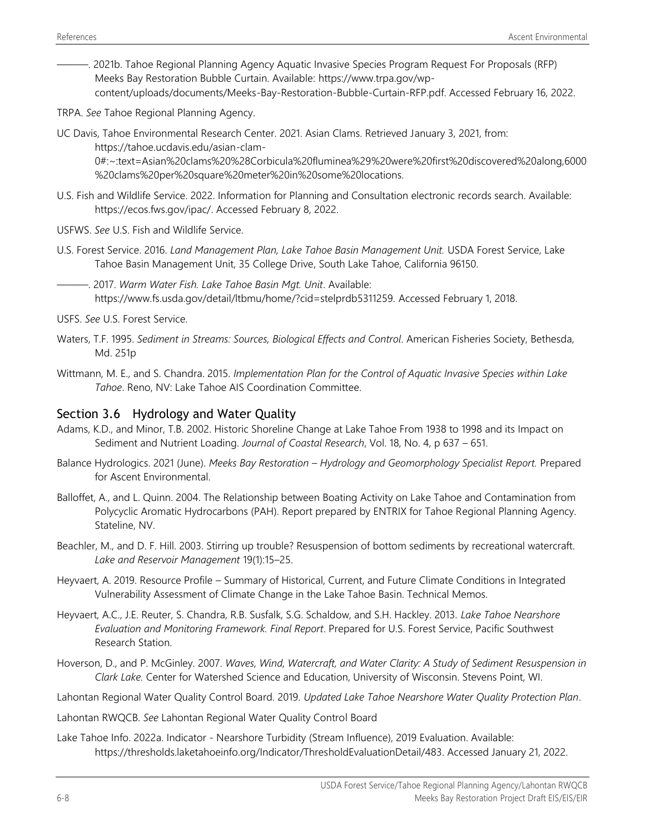———. 2021b. Tahoe Regional Planning Agency Aquatic Invasive Species Program Request For Proposals (RFP) Meeks Bay Restoration Bubble Curtain. Available: [https://www.trpa.gov/wp](https://www.trpa.gov/wp-content/uploads/documents/Meeks-Bay-Restoration-Bubble-Curtain-RFP.pdf)[content/uploads/documents/Meeks-Bay-Restoration-Bubble-Curtain-RFP.pdf.](https://www.trpa.gov/wp-content/uploads/documents/Meeks-Bay-Restoration-Bubble-Curtain-RFP.pdf) Accessed February 16, 2022.

TRPA. *See* Tahoe Regional Planning Agency.

UC Davis, Tahoe Environmental Research Center. 2021. Asian Clams. Retrieved January 3, 2021, from: https://tahoe.ucdavis.edu/asian-clam-

0#:~:text=Asian%20clams%20%28Corbicula%20fluminea%29%20were%20first%20discovered%20along,6000 %20clams%20per%20square%20meter%20in%20some%20locations.

- U.S. Fish and Wildlife Service. 2022. Information for Planning and Consultation electronic records search. Available: [https://ecos.fws.gov/ipac/.](https://ecos.fws.gov/ipac/) Accessed February 8, 2022.
- USFWS. *See* U.S. Fish and Wildlife Service.
- U.S. Forest Service. 2016. *Land Management Plan, Lake Tahoe Basin Management Unit.* USDA Forest Service, Lake Tahoe Basin Management Unit, 35 College Drive, South Lake Tahoe, California 96150.
- ———. 2017. *Warm Water Fish. Lake Tahoe Basin Mgt. Unit*. Available: https://www.fs.usda.gov/detail/ltbmu/home/?cid=stelprdb5311259. Accessed February 1, 2018.
- USFS. *See* U.S. Forest Service.
- Waters, T.F. 1995. *Sediment in Streams: Sources, Biological Effects and Control*. American Fisheries Society, Bethesda, Md. 251p
- Wittmann, M. E., and S. Chandra. 2015. *Implementation Plan for the Control of Aquatic Invasive Species within Lake Tahoe*. Reno, NV: Lake Tahoe AIS Coordination Committee.

#### Section 3.6 Hydrology and Water Quality

- Adams, K.D., and Minor, T.B. 2002. Historic Shoreline Change at Lake Tahoe From 1938 to 1998 and its Impact on Sediment and Nutrient Loading. *Journal of Coastal Research*, Vol. 18, No. 4, p 637 – 651.
- Balance Hydrologics. 2021 (June). *Meeks Bay Restoration – Hydrology and Geomorphology Specialist Report.* Prepared for Ascent Environmental.
- Balloffet, A., and L. Quinn. 2004. The Relationship between Boating Activity on Lake Tahoe and Contamination from Polycyclic Aromatic Hydrocarbons (PAH). Report prepared by ENTRIX for Tahoe Regional Planning Agency. Stateline, NV.
- Beachler, M., and D. F. Hill. 2003. Stirring up trouble? Resuspension of bottom sediments by recreational watercraft. *Lake and Reservoir Management* 19(1):15–25.
- Heyvaert, A. 2019. Resource Profile Summary of Historical, Current, and Future Climate Conditions in Integrated Vulnerability Assessment of Climate Change in the Lake Tahoe Basin. Technical Memos.
- Heyvaert, A.C., J.E. Reuter, S. Chandra, R.B. Susfalk, S.G. Schaldow, and S.H. Hackley. 2013. *Lake Tahoe Nearshore Evaluation and Monitoring Framework. Final Report*. Prepared for U.S. Forest Service, Pacific Southwest Research Station.
- Hoverson, D., and P. McGinley. 2007. *Waves, Wind, Watercraft, and Water Clarity: A Study of Sediment Resuspension in Clark Lake.* Center for Watershed Science and Education, University of Wisconsin. Stevens Point, WI.
- Lahontan Regional Water Quality Control Board. 2019. *Updated Lake Tahoe Nearshore Water Quality Protection Plan*.
- Lahontan RWQCB. *See* Lahontan Regional Water Quality Control Board
- Lake Tahoe Info. 2022a. Indicator Nearshore Turbidity (Stream Influence), 2019 Evaluation. Available: [https://thresholds.laketahoeinfo.org/Indicator/ThresholdEvaluationDetail/483.](https://thresholds.laketahoeinfo.org/Indicator/ThresholdEvaluationDetail/483) Accessed January 21, 2022.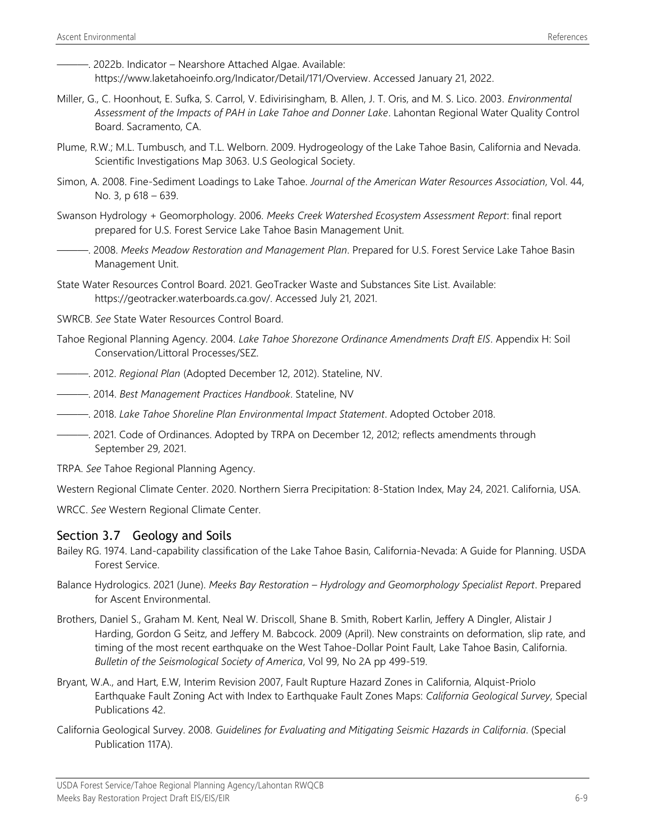———. 2022b. Indicator – Nearshore Attached Algae. Available: [https://www.laketahoeinfo.org/Indicator/Detail/171/Overview.](https://www.laketahoeinfo.org/Indicator/Detail/171/Overview) Accessed January 21, 2022.

- Miller, G., C. Hoonhout, E. Sufka, S. Carrol, V. Edivirisingham, B. Allen, J. T. Oris, and M. S. Lico. 2003. *Environmental Assessment of the Impacts of PAH in Lake Tahoe and Donner Lake*. Lahontan Regional Water Quality Control Board. Sacramento, CA.
- Plume, R.W.; M.L. Tumbusch, and T.L. Welborn. 2009. Hydrogeology of the Lake Tahoe Basin, California and Nevada. Scientific Investigations Map 3063. U.S Geological Society.
- Simon, A. 2008. Fine-Sediment Loadings to Lake Tahoe. *Journal of the American Water Resources Association*, Vol. 44, No. 3, p 618 – 639.
- Swanson Hydrology + Geomorphology. 2006. *Meeks Creek Watershed Ecosystem Assessment Report*: final report prepared for U.S. Forest Service Lake Tahoe Basin Management Unit.
- ———. 2008. *Meeks Meadow Restoration and Management Plan*. Prepared for U.S. Forest Service Lake Tahoe Basin Management Unit.
- State Water Resources Control Board. 2021. GeoTracker Waste and Substances Site List. Available: https://geotracker.waterboards.ca.gov/. Accessed July 21, 2021.
- SWRCB. *See* State Water Resources Control Board.
- Tahoe Regional Planning Agency. 2004. *Lake Tahoe Shorezone Ordinance Amendments Draft EIS*. Appendix H: Soil Conservation/Littoral Processes/SEZ.
- ———. 2012. *Regional Plan* (Adopted December 12, 2012). Stateline, NV.
- ———. 2014. *Best Management Practices Handbook*. Stateline, NV
- ———. 2018. *Lake Tahoe Shoreline Plan Environmental Impact Statement*. Adopted October 2018.
- ———. 2021. Code of Ordinances. Adopted by TRPA on December 12, 2012; reflects amendments through September 29, 2021.
- TRPA. *See* Tahoe Regional Planning Agency.

Western Regional Climate Center. 2020. Northern Sierra Precipitation: 8-Station Index, May 24, 2021. California, USA.

WRCC. *See* Western Regional Climate Center.

#### Section 3.7 Geology and Soils

- Bailey RG. 1974. Land-capability classification of the Lake Tahoe Basin, California-Nevada: A Guide for Planning. USDA Forest Service.
- Balance Hydrologics. 2021 (June). *Meeks Bay Restoration – Hydrology and Geomorphology Specialist Report*. Prepared for Ascent Environmental.
- Brothers, Daniel S., Graham M. Kent, Neal W. Driscoll, Shane B. Smith, Robert Karlin, Jeffery A Dingler, Alistair J Harding, Gordon G Seitz, and Jeffery M. Babcock. 2009 (April). New constraints on deformation, slip rate, and timing of the most recent earthquake on the West Tahoe-Dollar Point Fault, Lake Tahoe Basin, California. *Bulletin of the Seismological Society of America*, Vol 99, No 2A pp 499-519.
- Bryant, W.A., and Hart, E.W, Interim Revision 2007, Fault Rupture Hazard Zones in California, Alquist-Priolo Earthquake Fault Zoning Act with Index to Earthquake Fault Zones Maps: *California Geological Survey*, Special Publications 42.
- California Geological Survey. 2008. *Guidelines for Evaluating and Mitigating Seismic Hazards in California*. (Special Publication 117A).

USDA Forest Service/Tahoe Regional Planning Agency/Lahontan RWQCB Meeks Bay Restoration Project Draft EIS/EIS/EIR 6-9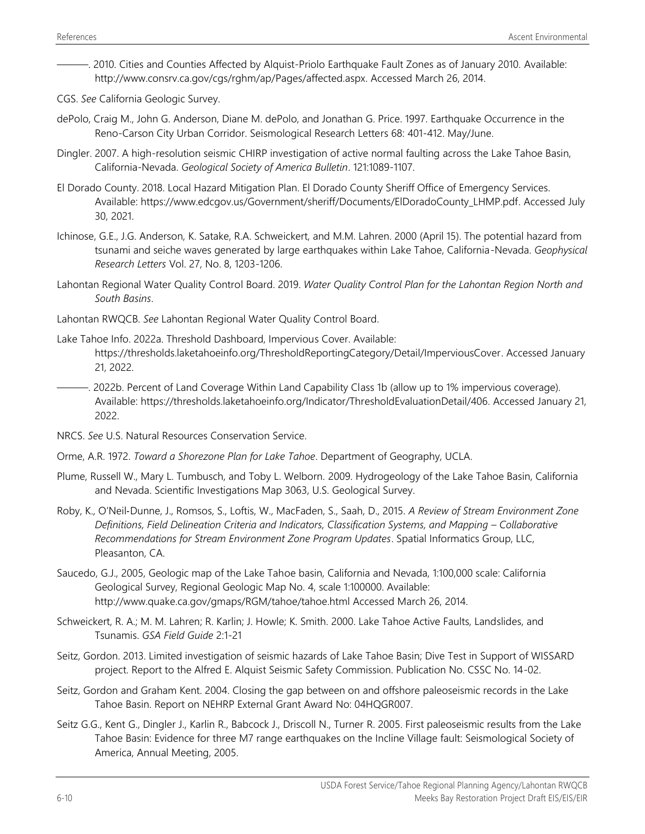- ———. 2010. Cities and Counties Affected by Alquist-Priolo Earthquake Fault Zones as of January 2010. Available: [http://www.consrv.ca.gov/cgs/rghm/ap/Pages/affected.aspx.](http://www.consrv.ca.gov/cgs/rghm/ap/Pages/affected.aspx) Accessed March 26, 2014.
- CGS. *See* California Geologic Survey.
- dePolo, Craig M., John G. Anderson, Diane M. dePolo, and Jonathan G. Price. 1997. Earthquake Occurrence in the Reno-Carson City Urban Corridor. Seismological Research Letters 68: 401-412. May/June.
- Dingler. 2007. A high-resolution seismic CHIRP investigation of active normal faulting across the Lake Tahoe Basin, California-Nevada. *Geological Society of America Bulletin*. 121:1089-1107.
- El Dorado County. 2018. Local Hazard Mitigation Plan. El Dorado County Sheriff Office of Emergency Services. Available: [https://www.edcgov.us/Government/sheriff/Documents/ElDoradoCounty\\_LHMP.pdf.](https://www.edcgov.us/Government/sheriff/Documents/ElDoradoCounty_LHMP.pdf) Accessed July 30, 2021.
- Ichinose, G.E., J.G. Anderson, K. Satake, R.A. Schweickert, and M.M. Lahren. 2000 (April 15). The potential hazard from tsunami and seiche waves generated by large earthquakes within Lake Tahoe, California-Nevada. *Geophysical Research Letters* Vol. 27, No. 8, 1203-1206.
- Lahontan Regional Water Quality Control Board. 2019. *Water Quality Control Plan for the Lahontan Region North and South Basins*.
- Lahontan RWQCB. *See* Lahontan Regional Water Quality Control Board.
- Lake Tahoe Info. 2022a. Threshold Dashboard, Impervious Cover. Available: [https://thresholds.laketahoeinfo.org/ThresholdReportingCategory/Detail/ImperviousCover.](https://thresholds.laketahoeinfo.org/ThresholdReportingCategory/Detail/ImperviousCover) Accessed January 21, 2022.
- ———. 2022b. Percent of Land Coverage Within Land Capability Class 1b (allow up to 1% impervious coverage). Available: [https://thresholds.laketahoeinfo.org/Indicator/ThresholdEvaluationDetail/406.](https://thresholds.laketahoeinfo.org/Indicator/ThresholdEvaluationDetail/406) Accessed January 21, 2022.
- NRCS. *See* U.S. Natural Resources Conservation Service.
- Orme, A.R. 1972. *Toward a Shorezone Plan for Lake Tahoe*. Department of Geography, UCLA.
- Plume, Russell W., Mary L. Tumbusch, and Toby L. Welborn. 2009. Hydrogeology of the Lake Tahoe Basin, California and Nevada. Scientific Investigations Map 3063, U.S. Geological Survey.
- Roby, K., O'Neil‐Dunne, J., Romsos, S., Loftis, W., MacFaden, S., Saah, D., 2015. *A Review of Stream Environment Zone Definitions, Field Delineation Criteria and Indicators, Classification Systems, and Mapping – Collaborative Recommendations for Stream Environment Zone Program Updates*. Spatial Informatics Group, LLC, Pleasanton, CA.
- Saucedo, G.J., 2005, Geologic map of the Lake Tahoe basin, California and Nevada, 1:100,000 scale: California Geological Survey, Regional Geologic Map No. 4, scale 1:100000. Available: http://www.quake.ca.gov/gmaps/RGM/tahoe/tahoe.html Accessed March 26, 2014.
- Schweickert, R. A.; M. M. Lahren; R. Karlin; J. Howle; K. Smith. 2000. Lake Tahoe Active Faults, Landslides, and Tsunamis. *GSA Field Guide* 2:1-21
- Seitz, Gordon. 2013. Limited investigation of seismic hazards of Lake Tahoe Basin; Dive Test in Support of WISSARD project. Report to the Alfred E. Alquist Seismic Safety Commission. Publication No. CSSC No. 14-02.
- Seitz, Gordon and Graham Kent. 2004. Closing the gap between on and offshore paleoseismic records in the Lake Tahoe Basin. Report on NEHRP External Grant Award No: 04HQGR007.
- Seitz G.G., Kent G., Dingler J., Karlin R., Babcock J., Driscoll N., Turner R. 2005. First paleoseismic results from the Lake Tahoe Basin: Evidence for three M7 range earthquakes on the Incline Village fault: Seismological Society of America, Annual Meeting, 2005.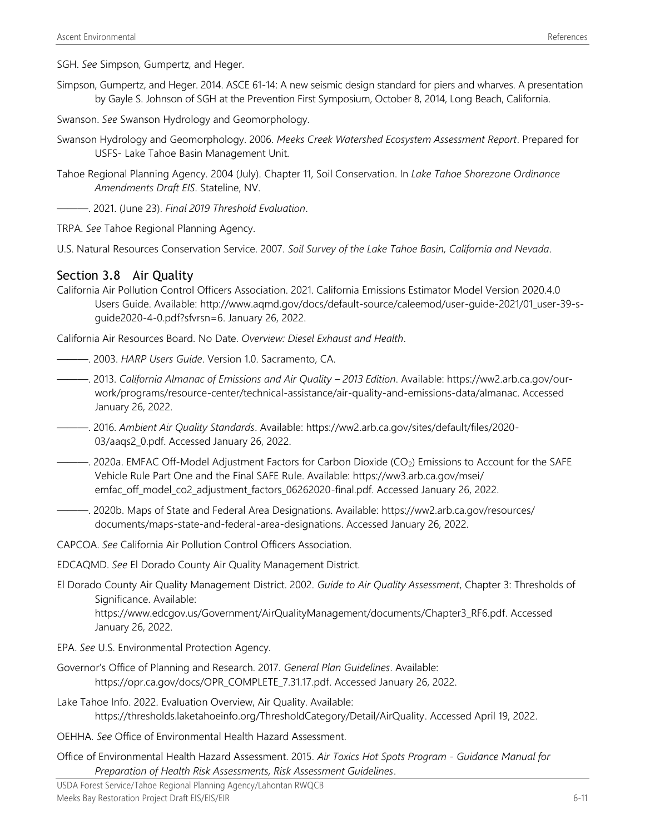SGH. *See* Simpson, Gumpertz, and Heger.

- Simpson, Gumpertz, and Heger. 2014. ASCE 61-14: A new seismic design standard for piers and wharves. A presentation by Gayle S. Johnson of SGH at the Prevention First Symposium, October 8, 2014, Long Beach, California.
- Swanson. *See* Swanson Hydrology and Geomorphology.
- Swanson Hydrology and Geomorphology. 2006. *Meeks Creek Watershed Ecosystem Assessment Report*. Prepared for USFS- Lake Tahoe Basin Management Unit.
- Tahoe Regional Planning Agency. 2004 (July). Chapter 11, Soil Conservation. In *Lake Tahoe Shorezone Ordinance Amendments Draft EIS*. Stateline, NV.
- ———. 2021. (June 23). *Final 2019 Threshold Evaluation*.
- TRPA. *See* Tahoe Regional Planning Agency.
- U.S. Natural Resources Conservation Service. 2007. *Soil Survey of the Lake Tahoe Basin, California and Nevada*.

#### Section 3.8 Air Quality

California Air Pollution Control Officers Association. 2021. California Emissions Estimator Model Version 2020.4.0 Users Guide. Available: [http://www.aqmd.gov/docs/default-source/caleemod/user-guide-2021/01\\_user-39-s](http://www.aqmd.gov/docs/default-source/caleemod/user-guide-2021/01_user-39-s-guide2020-4-0.pdf?sfvrsn=6)[guide2020-4-0.pdf?sfvrsn=6.](http://www.aqmd.gov/docs/default-source/caleemod/user-guide-2021/01_user-39-s-guide2020-4-0.pdf?sfvrsn=6) January 26, 2022.

California Air Resources Board. No Date. *Overview: Diesel Exhaust and Health*.

- ———. 2003. *HARP Users Guide*. Version 1.0. Sacramento, CA.
- ———. 2013. *California Almanac of Emissions and Air Quality – 2013 Edition*. Available: [https://ww2.arb.ca.gov/our](https://ww2.arb.ca.gov/our-work/programs/resource-center/technical-assistance/air-quality-and-emissions-data/almanac)[work/programs/resource-center/technical-assistance/air-quality-and-emissions-data/almanac.](https://ww2.arb.ca.gov/our-work/programs/resource-center/technical-assistance/air-quality-and-emissions-data/almanac) Accessed January 26, 2022.
- ———. 2016. *Ambient Air Quality Standards*. Available: [https://ww2.arb.ca.gov/sites/default/files/2020-](https://ww2.arb.ca.gov/sites/default/files/2020-03/aaqs2_0.pdf) [03/aaqs2\\_0.pdf.](https://ww2.arb.ca.gov/sites/default/files/2020-03/aaqs2_0.pdf) Accessed January 26, 2022.
- ———. 2020a. EMFAC Off-Model Adjustment Factors for Carbon Dioxide (CO2) Emissions to Account for the SAFE Vehicle Rule Part One and the Final SAFE Rule. Available: [https://ww3.arb.ca.gov/msei/](https://ww3.arb.ca.gov/msei/%0bemfac_off_model_co2_adjustment_factors_06262020-final.pdf) [emfac\\_off\\_model\\_co2\\_adjustment\\_factors\\_06262020-final.pdf.](https://ww3.arb.ca.gov/msei/%0bemfac_off_model_co2_adjustment_factors_06262020-final.pdf) Accessed January 26, 2022.
- ———. 2020b. Maps of State and Federal Area Designations. Available: [https://ww2.arb.ca.gov/resources/](https://ww2.arb.ca.gov/resources/%0bdocuments/maps-state-and-federal-area-designations) [documents/maps-state-and-federal-area-designations.](https://ww2.arb.ca.gov/resources/%0bdocuments/maps-state-and-federal-area-designations) Accessed January 26, 2022.

CAPCOA. *See* California Air Pollution Control Officers Association.

- EDCAQMD. *See* El Dorado County Air Quality Management District.
- El Dorado County Air Quality Management District. 2002. *Guide to Air Quality Assessment*, Chapter 3: Thresholds of Significance. Available:

[https://www.edcgov.us/Government/AirQualityManagement/documents/Chapter3\\_RF6.pdf.](https://www.edcgov.us/Government/AirQualityManagement/documents/Chapter3_RF6.pdf) Accessed January 26, 2022.

- EPA. *See* U.S. Environmental Protection Agency.
- Governor's Office of Planning and Research. 2017. *General Plan Guidelines*. Available: [https://opr.ca.gov/docs/OPR\\_COMPLETE\\_7.31.17.pdf.](https://opr.ca.gov/docs/OPR_COMPLETE_7.31.17.pdf) Accessed January 26, 2022.
- Lake Tahoe Info. 2022. Evaluation Overview, Air Quality. Available: [https://thresholds.laketahoeinfo.org/ThresholdCategory/Detail/AirQuality.](https://thresholds.laketahoeinfo.org/ThresholdCategory/Detail/AirQuality) Accessed April 19, 2022.
- OEHHA. *See* Office of Environmental Health Hazard Assessment.
- Office of Environmental Health Hazard Assessment. 2015. *Air Toxics Hot Spots Program - Guidance Manual for Preparation of Health Risk Assessments, Risk Assessment Guidelines*.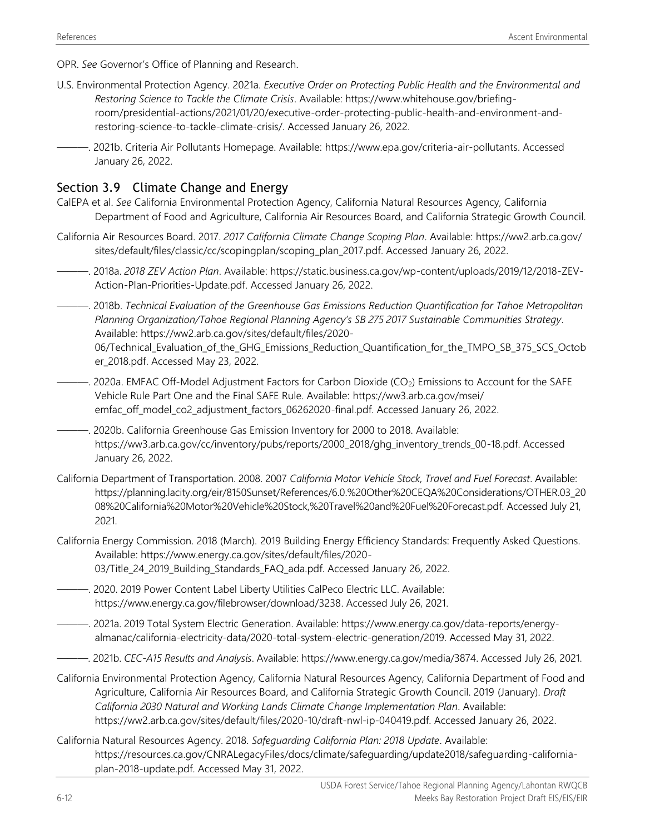- OPR. *See* Governor's Office of Planning and Research.
- U.S. Environmental Protection Agency. 2021a. *Executive Order on Protecting Public Health and the Environmental and Restoring Science to Tackle the Climate Crisis*. Available: [https://www.whitehouse.gov/briefing](https://www.whitehouse.gov/briefing-room/presidential-actions/2021/01/20/executive-order-protecting-public-health-and-environment-and-restoring-science-to-tackle-climate-crisis/)[room/presidential-actions/2021/01/20/executive-order-protecting-public-health-and-environment-and](https://www.whitehouse.gov/briefing-room/presidential-actions/2021/01/20/executive-order-protecting-public-health-and-environment-and-restoring-science-to-tackle-climate-crisis/)[restoring-science-to-tackle-climate-crisis/.](https://www.whitehouse.gov/briefing-room/presidential-actions/2021/01/20/executive-order-protecting-public-health-and-environment-and-restoring-science-to-tackle-climate-crisis/) Accessed January 26, 2022.
	- ———. 2021b. Criteria Air Pollutants Homepage. Available: [https://www.epa.gov/criteria-air-pollutants.](https://www.epa.gov/criteria-air-pollutants) Accessed January 26, 2022.

## Section 3.9 Climate Change and Energy

- CalEPA et al. *See* California Environmental Protection Agency, California Natural Resources Agency, California Department of Food and Agriculture, California Air Resources Board, and California Strategic Growth Council.
- California Air Resources Board. 2017. *2017 California Climate Change Scoping Plan*. Available[: https://ww2.arb.ca.gov/](https://ww2.arb.ca.gov/%0bsites/default/files/classic/cc/scopingplan/scoping_plan_2017.pdf) [sites/default/files/classic/cc/scopingplan/scoping\\_plan\\_2017.pdf.](https://ww2.arb.ca.gov/%0bsites/default/files/classic/cc/scopingplan/scoping_plan_2017.pdf) Accessed January 26, 2022.
- ———. 2018a. *2018 ZEV Action Plan*. Available: [https://static.business.ca.gov/wp-content/uploads/2019/12/2018-ZEV-](https://static.business.ca.gov/wp-content/uploads/2019/12/2018-ZEV-Action-Plan-Priorities-Update.pdf)[Action-Plan-Priorities-Update.pdf.](https://static.business.ca.gov/wp-content/uploads/2019/12/2018-ZEV-Action-Plan-Priorities-Update.pdf) Accessed January 26, 2022.
- ———. 2018b. *Technical Evaluation of the Greenhouse Gas Emissions Reduction Quantification for Tahoe Metropolitan Planning Organization/Tahoe Regional Planning Agency's SB 275 2017 Sustainable Communities Strategy*. Available: [https://ww2.arb.ca.gov/sites/default/files/2020-](https://ww2.arb.ca.gov/sites/default/files/2020-06/Technical_Evaluation_of_the_GHG_Emissions_Reduction_Quantification_for_the_TMPO_SB_375_SCS_October_2018.pdf)
	- [06/Technical\\_Evaluation\\_of\\_the\\_GHG\\_Emissions\\_Reduction\\_Quantification\\_for\\_the\\_TMPO\\_SB\\_375\\_SCS\\_Octob](https://ww2.arb.ca.gov/sites/default/files/2020-06/Technical_Evaluation_of_the_GHG_Emissions_Reduction_Quantification_for_the_TMPO_SB_375_SCS_October_2018.pdf) [er\\_2018.pdf.](https://ww2.arb.ca.gov/sites/default/files/2020-06/Technical_Evaluation_of_the_GHG_Emissions_Reduction_Quantification_for_the_TMPO_SB_375_SCS_October_2018.pdf) Accessed May 23, 2022.
- $-$ . 2020a. EMFAC Off-Model Adjustment Factors for Carbon Dioxide (CO<sub>2</sub>) Emissions to Account for the SAFE Vehicle Rule Part One and the Final SAFE Rule. Available: [https://ww3.arb.ca.gov/msei/](https://ww3.arb.ca.gov/msei/%0bemfac_off_model_co2_adjustment_factors_06262020-final.pdf) [emfac\\_off\\_model\\_co2\\_adjustment\\_factors\\_06262020-final.pdf.](https://ww3.arb.ca.gov/msei/%0bemfac_off_model_co2_adjustment_factors_06262020-final.pdf) Accessed January 26, 2022.
- ———. 2020b. California Greenhouse Gas Emission Inventory for 2000 to 2018. Available: [https://ww3.arb.ca.gov/cc/inventory/pubs/reports/2000\\_2018/ghg\\_inventory\\_trends\\_00-18.pdf. Accessed](https://ww3.arb.ca.gov/cc/inventory/pubs/reports/2000_2018/ghg_inventory_trends_00-18.pdf.%20Accessed%20Janaury%2026)  [January](https://ww3.arb.ca.gov/cc/inventory/pubs/reports/2000_2018/ghg_inventory_trends_00-18.pdf.%20Accessed%20Janaury%2026) 26, 2022.
- California Department of Transportation. 2008. 2007 *California Motor Vehicle Stock, Travel and Fuel Forecast*. Available: https://planning.lacity.org/eir/8150Sunset/References/6.0.%20Other%20CEQA%20Considerations/OTHER.03\_20 08%20California%20Motor%20Vehicle%20Stock,%20Travel%20and%20Fuel%20Forecast.pdf. Accessed July 21, 2021.
- California Energy Commission. 2018 (March). 2019 Building Energy Efficiency Standards: Frequently Asked Questions. Available: [https://www.energy.ca.gov/sites/default/files/2020-](https://www.energy.ca.gov/sites/default/files/2020-03/Title_24_2019_Building_Standards_FAQ_ada.pdf) [03/Title\\_24\\_2019\\_Building\\_Standards\\_FAQ\\_ada.pdf.](https://www.energy.ca.gov/sites/default/files/2020-03/Title_24_2019_Building_Standards_FAQ_ada.pdf) Accessed January 26, 2022.
- ———. 2020. 2019 Power Content Label Liberty Utilities CalPeco Electric LLC. Available: [https://www.energy.ca.gov/filebrowser/download/3238.](https://www.energy.ca.gov/filebrowser/download/3238) Accessed July 26, 2021.
- ———. 2021a. 2019 Total System Electric Generation. Available: [https://www.energy.ca.gov/data-reports/energy](https://www.energy.ca.gov/data-reports/energy-almanac/california-electricity-data/2020-total-system-electric-generation/2019)[almanac/california-electricity-data/2020-total-system-electric-generation/2019.](https://www.energy.ca.gov/data-reports/energy-almanac/california-electricity-data/2020-total-system-electric-generation/2019) Accessed May 31, 2022.
- ———. 2021b. *CEC-A15 Results and Analysis*. Available: https://www.energy.ca.gov/media/387[4.](https://www.energy.ca.gov/media/3874/) Accessed July 26, 2021.
- California Environmental Protection Agency, California Natural Resources Agency, California Department of Food and Agriculture, California Air Resources Board, and California Strategic Growth Council. 2019 (January). *Draft California 2030 Natural and Working Lands Climate Change Implementation Plan*. Available: [https://ww2.arb.ca.gov/sites/default/files/2020-10/draft-nwl-ip-040419.pdf.](https://ww2.arb.ca.gov/sites/default/files/2020-10/draft-nwl-ip-040419.pdf) Accessed January 26, 2022.
- California Natural Resources Agency. 2018. *Safeguarding California Plan: 2018 Update*. Available: [https://resources.ca.gov/CNRALegacyFiles/docs/climate/safeguarding/update2018/safeguarding-california](https://resources.ca.gov/CNRALegacyFiles/docs/climate/safeguarding/update2018/safeguarding-california-plan-2018-update.pdf)[plan-2018-update.pdf.](https://resources.ca.gov/CNRALegacyFiles/docs/climate/safeguarding/update2018/safeguarding-california-plan-2018-update.pdf) Accessed May 31, 2022.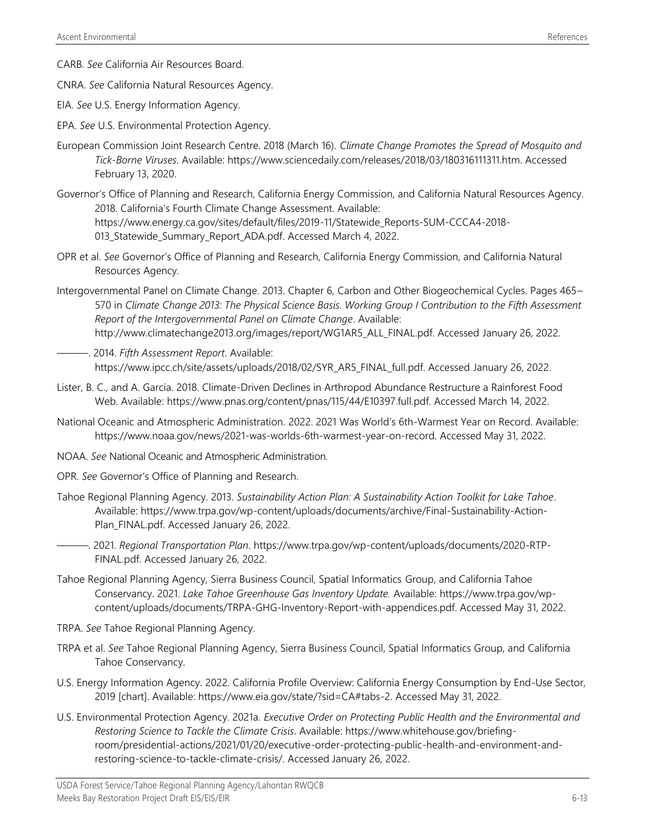- CARB. *See* California Air Resources Board.
- CNRA. *See* California Natural Resources Agency.
- EIA. *See* U.S. Energy Information Agency.
- EPA. *See* U.S. Environmental Protection Agency.
- European Commission Joint Research Centre. 2018 (March 16). *Climate Change Promotes the Spread of Mosquito and Tick-Borne Viruses*. Available: https://www.sciencedaily.com/releases/2018/03/180316111311.htm. Accessed February 13, 2020.
- Governor's Office of Planning and Research, California Energy Commission, and California Natural Resources Agency. 2018. California's Fourth Climate Change Assessment. Available: [https://www.energy.ca.gov/sites/default/files/2019-11/Statewide\\_Reports-SUM-CCCA4-2018-](https://www.energy.ca.gov/sites/default/files/2019-11/Statewide_Reports-SUM-CCCA4-2018-013_Statewide_Summary_Report_ADA.pdf) [013\\_Statewide\\_Summary\\_Report\\_ADA.pdf.](https://www.energy.ca.gov/sites/default/files/2019-11/Statewide_Reports-SUM-CCCA4-2018-013_Statewide_Summary_Report_ADA.pdf) Accessed March 4, 2022.
- OPR et al. *See* Governor's Office of Planning and Research, California Energy Commission, and California Natural Resources Agency.
- Intergovernmental Panel on Climate Change. 2013. Chapter 6, Carbon and Other Biogeochemical Cycles. Pages 465– 570 in *Climate Change 2013: The Physical Science Basis. Working Group I Contribution to the Fifth Assessment Report of the Intergovernmental Panel on Climate Change*. Available: http://www.climatechange2013.org/images/report/WG1AR5\_ALL\_FINAL.pdf. Accessed January 26, 2022.
- ———. 2014. *Fifth Assessment Report*. Available: https://www.ipcc.ch/site/assets/uploads/2018/02/SYR\_AR5\_FINAL\_full.pdf. Accessed January 26, 2022.
- Lister, B. C., and A. Garcia. 2018. Climate-Driven Declines in Arthropod Abundance Restructure a Rainforest Food Web. Available: https://www.pnas.org/content/pnas/115/44/E10397.full.pdf. Accessed March 14, 2022.
- National Oceanic and Atmospheric Administration. 2022. 2021 Was World's 6th-Warmest Year on Record. Available: [https://www.noaa.gov/news/2021-was-worlds-6th-warmest-year-on-record.](https://www.noaa.gov/news/2021-was-worlds-6th-warmest-year-on-record) Accessed May 31, 2022.
- NOAA. *See* National Oceanic and Atmospheric Administration.
- OPR. *See* Governor's Office of Planning and Research.
- Tahoe Regional Planning Agency. 2013. *Sustainability Action Plan: A Sustainability Action Toolkit for Lake Tahoe*. Available: [https://www.trpa.gov/wp-content/uploads/documents/archive/Final-Sustainability-Action-](https://www.trpa.gov/wp-content/uploads/documents/archive/Final-Sustainability-Action-Plan_FINAL.pdf)[Plan\\_FINAL.pdf.](https://www.trpa.gov/wp-content/uploads/documents/archive/Final-Sustainability-Action-Plan_FINAL.pdf) Accessed January 26, 2022.
- ———. 2021. *Regional Transportation Plan*. [https://www.trpa.gov/wp-content/uploads/documents/2020-RTP-](https://www.trpa.gov/wp-content/uploads/documents/2020-RTP-FINAL.pdf)[FINAL.pdf.](https://www.trpa.gov/wp-content/uploads/documents/2020-RTP-FINAL.pdf) Accessed January 26, 2022.
- Tahoe Regional Planning Agency, Sierra Business Council, Spatial Informatics Group, and California Tahoe Conservancy. 2021. *Lake Tahoe Greenhouse Gas Inventory Update.* Available: [https://www.trpa.gov/wp](https://www.trpa.gov/wp-content/uploads/documents/TRPA-GHG-Inventory-Report-with-appendices.pdf)[content/uploads/documents/TRPA-GHG-Inventory-Report-with-appendices.pdf.](https://www.trpa.gov/wp-content/uploads/documents/TRPA-GHG-Inventory-Report-with-appendices.pdf) Accessed May 31, 2022.
- TRPA. *See* Tahoe Regional Planning Agency.
- TRPA et al. *See* Tahoe Regional Planning Agency, Sierra Business Council, Spatial Informatics Group, and California Tahoe Conservancy.
- U.S. Energy Information Agency. 2022. California Profile Overview: California Energy Consumption by End-Use Sector, 2019 [chart]. Available: https://www.eia.gov/state/?sid=CA#tabs-2. Accessed May 31, 2022.
- U.S. Environmental Protection Agency. 2021a. *Executive Order on Protecting Public Health and the Environmental and Restoring Science to Tackle the Climate Crisis*. Available: [https://www.whitehouse.gov/briefing](https://www.whitehouse.gov/briefing-room/presidential-actions/2021/01/20/executive-order-protecting-public-health-and-environment-and-restoring-science-to-tackle-climate-crisis/)[room/presidential-actions/2021/01/20/executive-order-protecting-public-health-and-environment-and](https://www.whitehouse.gov/briefing-room/presidential-actions/2021/01/20/executive-order-protecting-public-health-and-environment-and-restoring-science-to-tackle-climate-crisis/)[restoring-science-to-tackle-climate-crisis/.](https://www.whitehouse.gov/briefing-room/presidential-actions/2021/01/20/executive-order-protecting-public-health-and-environment-and-restoring-science-to-tackle-climate-crisis/) Accessed January 26, 2022.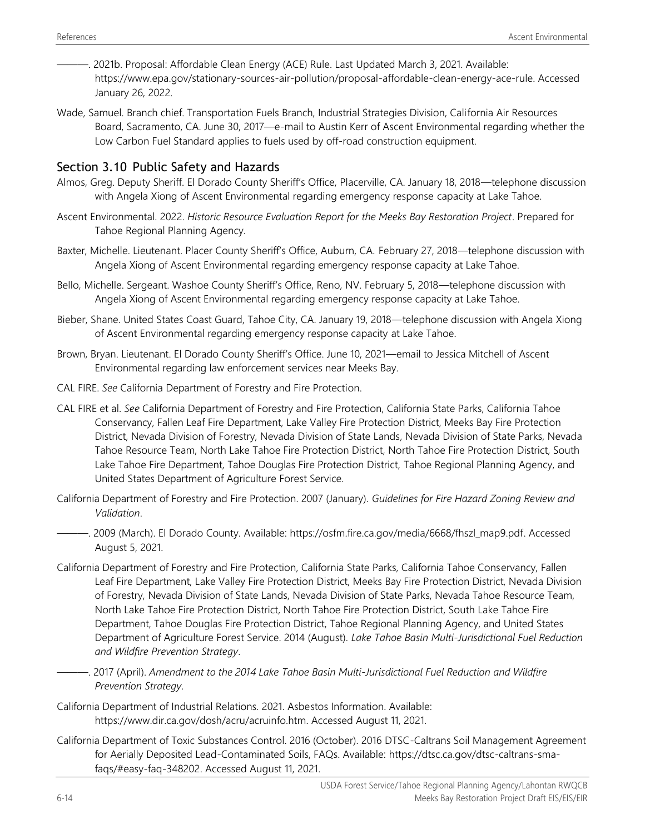———. 2021b. Proposal: Affordable Clean Energy (ACE) Rule. Last Updated March 3, 2021. Available: [https://www.epa.gov/stationary-sources-air-pollution/proposal-affordable-clean-energy-ace-rule.](https://www.epa.gov/stationary-sources-air-pollution/proposal-affordable-clean-energy-ace-rule) Accessed January 26, 2022.

Wade, Samuel. Branch chief. Transportation Fuels Branch, Industrial Strategies Division, California Air Resources Board, Sacramento, CA. June 30, 2017―e-mail to Austin Kerr of Ascent Environmental regarding whether the Low Carbon Fuel Standard applies to fuels used by off-road construction equipment.

# Section 3.10 Public Safety and Hazards

- Almos, Greg. Deputy Sheriff. El Dorado County Sheriff's Office, Placerville, CA. January 18, 2018—telephone discussion with Angela Xiong of Ascent Environmental regarding emergency response capacity at Lake Tahoe.
- Ascent Environmental. 2022. *Historic Resource Evaluation Report for the Meeks Bay Restoration Project*. Prepared for Tahoe Regional Planning Agency.
- Baxter, Michelle. Lieutenant. Placer County Sheriff's Office, Auburn, CA. February 27, 2018—telephone discussion with Angela Xiong of Ascent Environmental regarding emergency response capacity at Lake Tahoe.
- Bello, Michelle. Sergeant. Washoe County Sheriff's Office, Reno, NV. February 5, 2018—telephone discussion with Angela Xiong of Ascent Environmental regarding emergency response capacity at Lake Tahoe.
- Bieber, Shane. United States Coast Guard, Tahoe City, CA. January 19, 2018—telephone discussion with Angela Xiong of Ascent Environmental regarding emergency response capacity at Lake Tahoe.
- Brown, Bryan. Lieutenant. El Dorado County Sheriff's Office. June 10, 2021—email to Jessica Mitchell of Ascent Environmental regarding law enforcement services near Meeks Bay.
- CAL FIRE. *See* California Department of Forestry and Fire Protection.
- CAL FIRE et al. *See* California Department of Forestry and Fire Protection, California State Parks, California Tahoe Conservancy, Fallen Leaf Fire Department, Lake Valley Fire Protection District, Meeks Bay Fire Protection District, Nevada Division of Forestry, Nevada Division of State Lands, Nevada Division of State Parks, Nevada Tahoe Resource Team, North Lake Tahoe Fire Protection District, North Tahoe Fire Protection District, South Lake Tahoe Fire Department, Tahoe Douglas Fire Protection District, Tahoe Regional Planning Agency, and United States Department of Agriculture Forest Service.
- California Department of Forestry and Fire Protection. 2007 (January). *Guidelines for Fire Hazard Zoning Review and Validation*.
- ———. 2009 (March). El Dorado County. Available: [https://osfm.fire.ca.gov/media/6668/fhszl\\_map9.pdf.](https://osfm.fire.ca.gov/media/6668/fhszl_map9.pdf) Accessed August 5, 2021.
- California Department of Forestry and Fire Protection, California State Parks, California Tahoe Conservancy, Fallen Leaf Fire Department, Lake Valley Fire Protection District, Meeks Bay Fire Protection District, Nevada Division of Forestry, Nevada Division of State Lands, Nevada Division of State Parks, Nevada Tahoe Resource Team, North Lake Tahoe Fire Protection District, North Tahoe Fire Protection District, South Lake Tahoe Fire Department, Tahoe Douglas Fire Protection District, Tahoe Regional Planning Agency, and United States Department of Agriculture Forest Service. 2014 (August). *Lake Tahoe Basin Multi-Jurisdictional Fuel Reduction and Wildfire Prevention Strategy*.
	- ———. 2017 (April). *Amendment to the 2014 Lake Tahoe Basin Multi-Jurisdictional Fuel Reduction and Wildfire Prevention Strategy*.
- California Department of Industrial Relations. 2021. Asbestos Information. Available: https://www.dir.ca.gov/dosh/acru/acruinfo.htm. Accessed August 11, 2021.
- California Department of Toxic Substances Control. 2016 (October). 2016 DTSC-Caltrans Soil Management Agreement for Aerially Deposited Lead-Contaminated Soils, FAQs. Available: [https://dtsc.ca.gov/dtsc-caltrans-sma](https://dtsc.ca.gov/dtsc-caltrans-sma-faqs/#easy-faq-348202)[faqs/#easy-faq-348202.](https://dtsc.ca.gov/dtsc-caltrans-sma-faqs/#easy-faq-348202) Accessed August 11, 2021.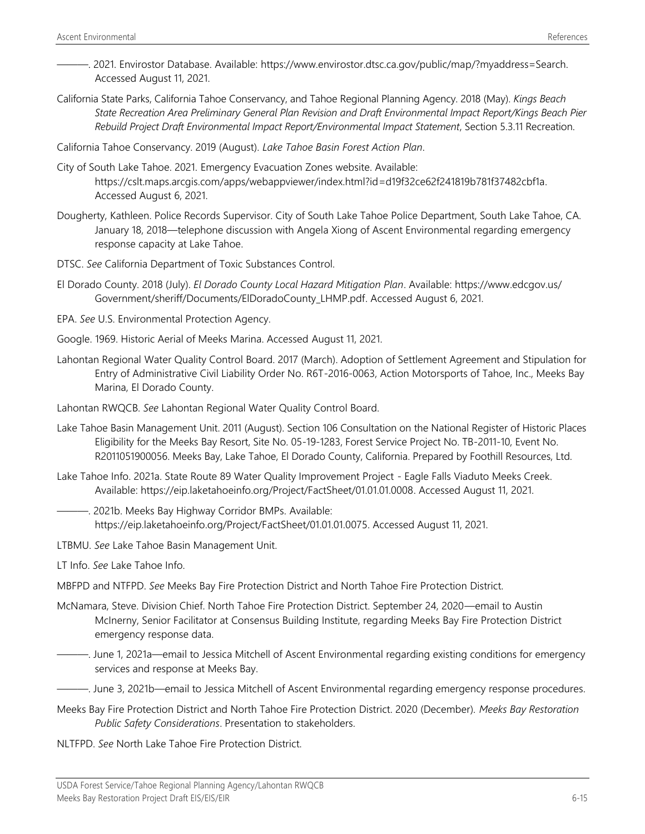- ———. 2021. Envirostor Database. Available: [https://www.envirostor.dtsc.ca.gov/public/map/?myaddress=Search.](https://www.envirostor.dtsc.ca.gov/public/map/?myaddress=Search)  Accessed August 11, 2021.
- California State Parks, California Tahoe Conservancy, and Tahoe Regional Planning Agency. 2018 (May). *Kings Beach State Recreation Area Preliminary General Plan Revision and Draft Environmental Impact Report/Kings Beach Pier Rebuild Project Draft Environmental Impact Report/Environmental Impact Statement*, Section 5.3.11 Recreation.

California Tahoe Conservancy. 2019 (August). *Lake Tahoe Basin Forest Action Plan*.

- City of South Lake Tahoe. 2021. Emergency Evacuation Zones website. Available: [https://cslt.maps.arcgis.com/apps/webappviewer/index.html?id=d19f32ce62f241819b781f37482cbf1a.](https://cslt.maps.arcgis.com/apps/webappviewer/index.html?id=d19f32ce62f241819b781f37482cbf1a)  Accessed August 6, 2021.
- Dougherty, Kathleen. Police Records Supervisor. City of South Lake Tahoe Police Department, South Lake Tahoe, CA. January 18, 2018—telephone discussion with Angela Xiong of Ascent Environmental regarding emergency response capacity at Lake Tahoe.
- DTSC. *See* California Department of Toxic Substances Control.
- El Dorado County. 2018 (July). *El Dorado County Local Hazard Mitigation Plan*. Available: [https://www.edcgov.us/](https://www.edcgov.us/%0bGovernment/sheriff/Documents/ElDoradoCounty_LHMP.pdf) [Government/sheriff/Documents/ElDoradoCounty\\_LHMP.pdf.](https://www.edcgov.us/%0bGovernment/sheriff/Documents/ElDoradoCounty_LHMP.pdf) Accessed August 6, 2021.
- EPA. *See* U.S. Environmental Protection Agency.
- Google. 1969. Historic Aerial of Meeks Marina. Accessed August 11, 2021.
- Lahontan Regional Water Quality Control Board. 2017 (March). Adoption of Settlement Agreement and Stipulation for Entry of Administrative Civil Liability Order No. R6T-2016-0063, Action Motorsports of Tahoe, Inc., Meeks Bay Marina, El Dorado County.
- Lahontan RWQCB. *See* Lahontan Regional Water Quality Control Board.
- Lake Tahoe Basin Management Unit. 2011 (August). Section 106 Consultation on the National Register of Historic Places Eligibility for the Meeks Bay Resort, Site No. 05-19-1283, Forest Service Project No. TB-2011-10, Event No. R2011051900056. Meeks Bay, Lake Tahoe, El Dorado County, California. Prepared by Foothill Resources, Ltd.
- Lake Tahoe Info. 2021a. State Route 89 Water Quality Improvement Project Eagle Falls Viaduto Meeks Creek. Available: [https://eip.laketahoeinfo.org/Project/FactSheet/01.01.01.0008.](https://eip.laketahoeinfo.org/Project/FactSheet/01.01.01.0008) Accessed August 11, 2021.
	- ———. 2021b. Meeks Bay Highway Corridor BMPs. Available: [https://eip.laketahoeinfo.org/Project/FactSheet/01.01.01.0075.](https://eip.laketahoeinfo.org/Project/FactSheet/01.01.01.0075) Accessed August 11, 2021.
- LTBMU. *See* Lake Tahoe Basin Management Unit.
- LT Info. *See* Lake Tahoe Info.
- MBFPD and NTFPD. *See* Meeks Bay Fire Protection District and North Tahoe Fire Protection District.
- McNamara, Steve. Division Chief. North Tahoe Fire Protection District. September 24, 2020—email to Austin McInerny, Senior Facilitator at Consensus Building Institute, regarding Meeks Bay Fire Protection District emergency response data.
	- ———. June 1, 2021a—email to Jessica Mitchell of Ascent Environmental regarding existing conditions for emergency services and response at Meeks Bay.

-. June 3, 2021b—email to Jessica Mitchell of Ascent Environmental regarding emergency response procedures.

- Meeks Bay Fire Protection District and North Tahoe Fire Protection District. 2020 (December). *Meeks Bay Restoration Public Safety Considerations*. Presentation to stakeholders.
- NLTFPD. *See* North Lake Tahoe Fire Protection District.

USDA Forest Service/Tahoe Regional Planning Agency/Lahontan RWQCB Meeks Bay Restoration Project Draft EIS/EIS/EIR 6-15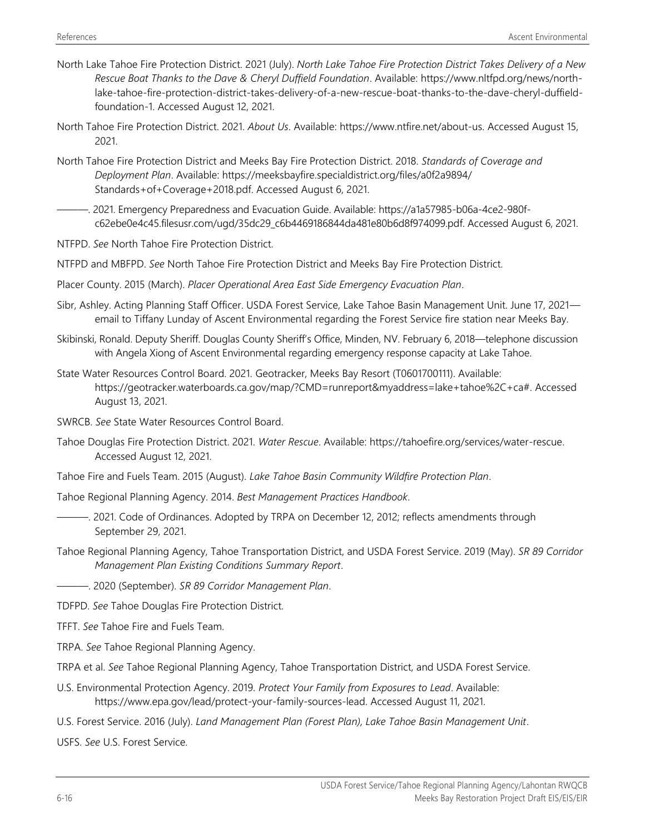- North Lake Tahoe Fire Protection District. 2021 (July). *North Lake Tahoe Fire Protection District Takes Delivery of a New Rescue Boat Thanks to the Dave & Cheryl Duffield Foundation*. Available: https://www.nltfpd.org/news/northlake-tahoe-fire-protection-district-takes-delivery-of-a-new-rescue-boat-thanks-to-the-dave-cheryl-duffieldfoundation-1. Accessed August 12, 2021.
- North Tahoe Fire Protection District. 2021. *About Us*. Available: https://www.ntfire.net/about-us. Accessed August 15, 2021.
- North Tahoe Fire Protection District and Meeks Bay Fire Protection District. 2018. *Standards of Coverage and Deployment Plan*. Available: https://meeksbayfire.specialdistrict.org/files/a0f2a9894/ Standards+of+Coverage+2018.pdf. Accessed August 6, 2021.
- ———. 2021. Emergency Preparedness and Evacuation Guide. Available: https://a1a57985-b06a-4ce2-980fc62ebe0e4c45.filesusr.com/ugd/35dc29\_c6b4469186844da481e80b6d8f974099.pdf. Accessed August 6, 2021.

NTFPD. *See* North Tahoe Fire Protection District.

- NTFPD and MBFPD. *See* North Tahoe Fire Protection District and Meeks Bay Fire Protection District.
- Placer County. 2015 (March). *Placer Operational Area East Side Emergency Evacuation Plan*.
- Sibr, Ashley. Acting Planning Staff Officer. USDA Forest Service, Lake Tahoe Basin Management Unit. June 17, 2021 email to Tiffany Lunday of Ascent Environmental regarding the Forest Service fire station near Meeks Bay.
- Skibinski, Ronald. Deputy Sheriff. Douglas County Sheriff's Office, Minden, NV. February 6, 2018—telephone discussion with Angela Xiong of Ascent Environmental regarding emergency response capacity at Lake Tahoe.
- State Water Resources Control Board. 2021. Geotracker, Meeks Bay Resort (T0601700111). Available: https://geotracker.waterboards.ca.gov/map/?CMD=runreport&myaddress=lake+tahoe%2C+ca#. Accessed August 13, 2021.
- SWRCB. *See* State Water Resources Control Board.
- Tahoe Douglas Fire Protection District. 2021. *Water Rescue*. Available: https://tahoefire.org/services/water-rescue. Accessed August 12, 2021.
- Tahoe Fire and Fuels Team. 2015 (August). *Lake Tahoe Basin Community Wildfire Protection Plan*.
- Tahoe Regional Planning Agency. 2014. *Best Management Practices Handbook*.
	- ———. 2021. Code of Ordinances. Adopted by TRPA on December 12, 2012; reflects amendments through September 29, 2021.
- Tahoe Regional Planning Agency, Tahoe Transportation District, and USDA Forest Service. 2019 (May). *SR 89 Corridor Management Plan Existing Conditions Summary Report*.
- ———. 2020 (September). *SR 89 Corridor Management Plan*.
- TDFPD. *See* Tahoe Douglas Fire Protection District.
- TFFT. *See* Tahoe Fire and Fuels Team.
- TRPA. *See* Tahoe Regional Planning Agency.
- TRPA et al. *See* Tahoe Regional Planning Agency, Tahoe Transportation District, and USDA Forest Service.
- U.S. Environmental Protection Agency. 2019. *Protect Your Family from Exposures to Lead*. Available: https://www.epa.gov/lead/protect-your-family-sources-lead. Accessed August 11, 2021.
- U.S. Forest Service. 2016 (July). *Land Management Plan (Forest Plan), Lake Tahoe Basin Management Unit*.

USFS. *See* U.S. Forest Service.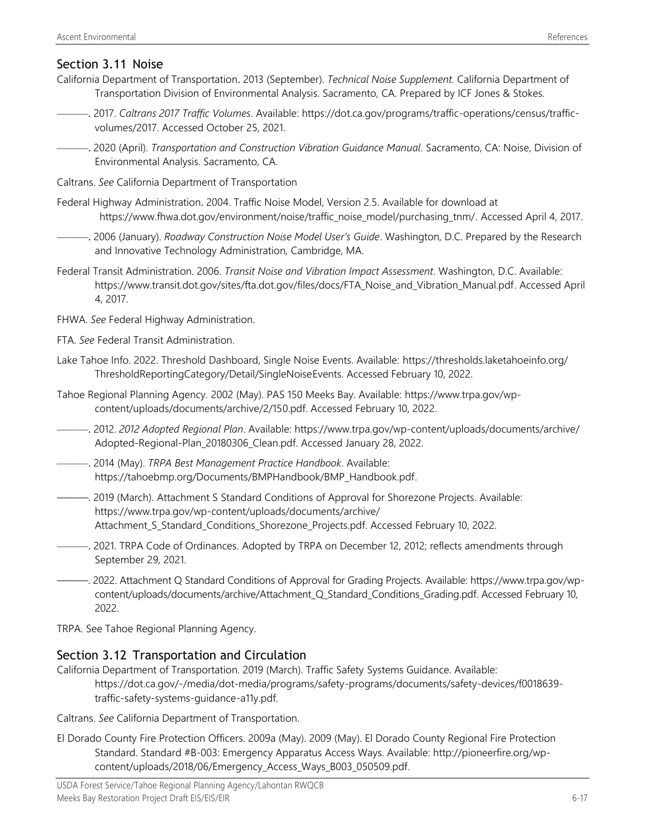# Section 3.11 Noise

- California Department of Transportation. 2013 (September). *Technical Noise Supplement.* California Department of Transportation Division of Environmental Analysis. Sacramento, CA. Prepared by ICF Jones & Stokes.
- ———. 2017. *Caltrans 2017 Traffic Volumes*. Available: https://dot.ca.gov/programs/traffic-operations/census/trafficvolumes/2017. Accessed October 25, 2021.
- ———. 2020 (April). *Transportation and Construction Vibration Guidance Manual*. Sacramento, CA: Noise, Division of Environmental Analysis. Sacramento, CA.
- Caltrans. *See* California Department of Transportation
- Federal Highway Administration. 2004. Traffic Noise Model, Version 2.5. Available for download at https://www.fhwa.dot.gov/environment/noise/traffic\_noise\_model/purchasing\_tnm/. Accessed April 4, 2017.
- ———. 2006 (January). *Roadway Construction Noise Model User's Guide*. Washington, D.C. Prepared by the Research and Innovative Technology Administration, Cambridge, MA.
- Federal Transit Administration. 2006. *Transit Noise and Vibration Impact Assessment*. Washington, D.C. Available: https://www.transit.dot.gov/sites/fta.dot.gov/files/docs/FTA\_Noise\_and\_Vibration\_Manual.pdf. Accessed April 4, 2017.
- FHWA. *See* Federal Highway Administration.
- FTA. *See* Federal Transit Administration.
- Lake Tahoe Info. 2022. Threshold Dashboard, Single Noise Events. Available: https://thresholds.laketahoeinfo.org/ ThresholdReportingCategory/Detail/SingleNoiseEvents. Accessed February 10, 2022.
- Tahoe Regional Planning Agency. 2002 (May). PAS 150 Meeks Bay. Available: https://www.trpa.gov/wpcontent/uploads/documents/archive/2/150.pdf. Accessed February 10, 2022.
- ———. 2012. *2012 Adopted Regional Plan*. Available: https://www.trpa.gov/wp-content/uploads/documents/archive/ Adopted-Regional-Plan\_20180306\_Clean.pdf. Accessed January 28, 2022.
- ———. 2014 (May). *TRPA Best Management Practice Handbook*. Available: https://tahoebmp.org/Documents/BMPHandbook/BMP\_Handbook.pdf.
- ———. 2019 (March). Attachment S Standard Conditions of Approval for Shorezone Projects. Available: https://www.trpa.gov/wp-content/uploads/documents/archive/ Attachment\_S\_Standard\_Conditions\_Shorezone\_Projects.pdf. Accessed February 10, 2022.
- ———. 2021. TRPA Code of Ordinances. Adopted by TRPA on December 12, 2012; reflects amendments through September 29, 2021.
- ———. 2022. Attachment Q Standard Conditions of Approval for Grading Projects. Available: https://www.trpa.gov/wpcontent/uploads/documents/archive/Attachment Q Standard Conditions Grading.pdf. Accessed February 10, 2022.

TRPA. See Tahoe Regional Planning Agency.

## Section 3.12 Transportation and Circulation

California Department of Transportation. 2019 (March). Traffic Safety Systems Guidance. Available: https://dot.ca.gov/-/media/dot-media/programs/safety-programs/documents/safety-devices/f0018639 traffic-safety-systems-guidance-a11y.pdf.

Caltrans. *See* California Department of Transportation.

El Dorado County Fire Protection Officers. 2009a (May). 2009 (May). El Dorado County Regional Fire Protection Standard. Standard #B-003: Emergency Apparatus Access Ways. Available: http://pioneerfire.org/wpcontent/uploads/2018/06/Emergency\_Access\_Ways\_B003\_050509.pdf.